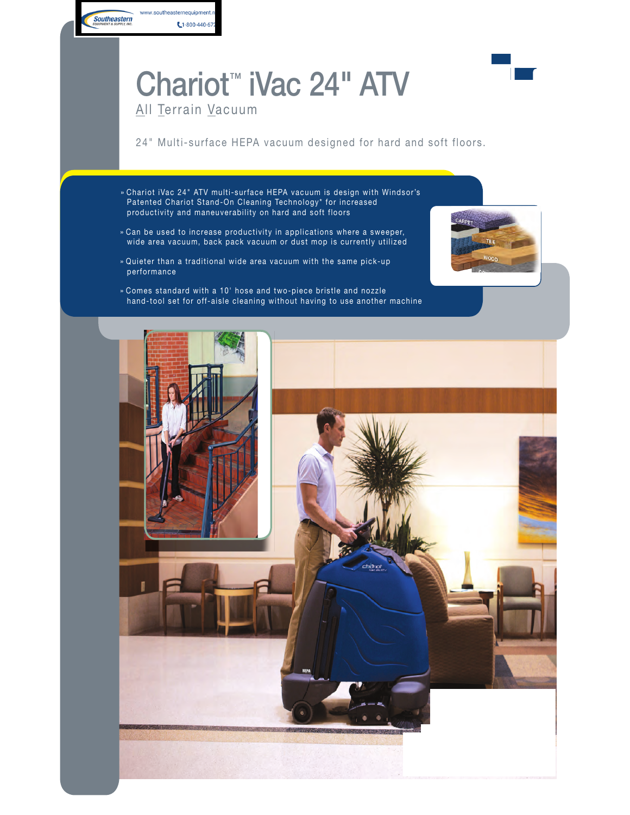## Chariot™ iVac 24" ATV



## All Terrain Vacuum

 $1-800-440-67$ 

www.southeasternequipment.n

**Southeastern** 

24" Multi-surface HEPA vacuum designed for hard and soft floors.

- » Chariot iVac 24" ATV multi-surface HEPA vacuum is design with Windsor's Patented Chariot Stand-On Cleaning Technology\* for increased productivity and maneuverability on hard and soft floors
- » Can be used to increase productivity in applications where a sweeper, wide area vacuum, back pack vacuum or dust mop is currently utilized
- » Quieter than a traditional wide area vacuum with the same pick-up performance
- » Comes standard with a 10' hose and two-piece bristle and nozzle hand-tool set for off-aisle cleaning without having to use another machine